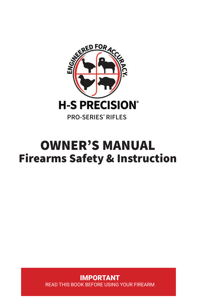

# OWNER'S MANUAL Firearms Safety & Instruction

IMPORTANT READ THIS BOOK BEFORE USING YOUR FIREARM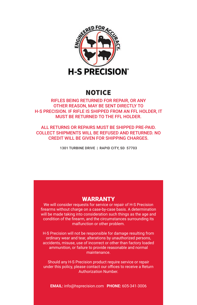

# NOTICE

# RIFLES BEING RETURNED FOR REPAIR, OR ANY OTHER REASON, MAY BE SENT DIRECTLY TO H-S PRECISION. IF RIFLE IS SHIPPED FROM AN FFL HOLDER, IT MUST BE RETURNED TO THE FFL HOLDER.

ALL RETURNS OR REPAIRS MUST BE SHIPPED PRE-PAID. COLLECT SHIPMENTS WILL BE REFUSED AND RETURNED. NO CREDIT WILL BE GIVEN FOR SHIPPING CHARGES.

1301 TURBINE DRIVE | RAPID CITY, SD 57703

# WARRANTY

We will consider requests for service or repair of H-S Precision firearms without charge on a case-by-case basis. A determination will be made taking into consideration such things as the age and condition of the firearm, and the circumstances surrounding its malfunction or other problem.

H-S Precision will not be responsible for damage resulting from ordinary wear and tear, alterations by unauthorized persons, accidents, misuse, use of incorrect or other than factory loaded ammunition, or failure to provide reasonable and normal maintenance.

Should any H-S Precision product require service or repair under this policy, please contact our offices to receive a Return Authorization Number.

**EMAIL:** info@hsprecision.com **PHONE:** 605-341-3006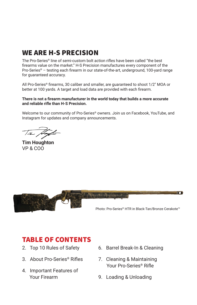# WE ARE H-S PRECISION

The Pro-Series® line of semi-custom bolt action rifles have been called "the best firearms value on the market." H-S Precision manufactures every component of the Pro-Series® – testing each firearm in our state-of-the-art, underground, 100-yard range for guaranteed accuracy.

All Pro-Series® firearms, 30 caliber and smaller, are guaranteed to shoot 1/2″ MOA or better at 100 yards. A target and load data are provided with each firearm.

## **There is not a firearm manufacturer in the world today that builds a more accurate and reliable rifle than H-S Precision.**

Welcome to our community of Pro-Series® owners. Join us on Facebook, YouTube, and Instagram for updates and company announcements.

**Tim Houghton** VP & COO



# TABLE OF CONTENTS

- 2. Top 10 Rules of Safety
- 3. About Pro-Series® Rifles
- 4. Important Features of Your Firearm
- 6. Barrel Break-In & Cleaning
- 7. Cleaning & Maintaining Your Pro-Series® Rifle
- 9. Loading & Unloading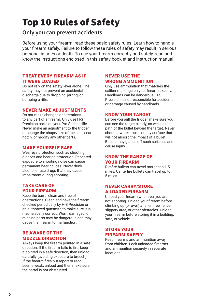# Top 10 Rules of Safety

# **Only you can prevent accidents**

Before using your firearm, read these basic safety rules. Learn how to handle your firearm safely. Failure to follow these rules of safety may result in serious personal injuries or death. To use your firearm correctly and safely, read and know the instructions enclosed in this safety booklet and instruction manual.

# TREAT EVERY FIREARM AS IF IT WERE LOADED

Do not rely on the safety lever alone. The safety may not prevent an accidental discharge due to dropping, jarring, or bumping a rifle.

# NEVER MAKE ADJUSTMENTS

Do not make changes or alterations to any part of a firearm. Only use H-S Precision parts on your Pro-Series® rifle. Never make an adjustment to the trigger or change the shape/size of the sear, sear notch, or modify any other parts.

# MAKE YOURSELF SAFE

Wear eye protection such as shooting glasses and hearing protection. Repeated exposure to shooting noise can cause permanent hearing loss. Never drink alcohol or use drugs that may cause impairment during shooting.

# TAKE CARE OF YOUR FIREARM

Keep the barrel clean and free of obstructions. Clean and have the firearm checked periodically by H-S Precision or an authorized gunsmith to make sure it is mechanically correct. Worn, damaged, or missing parts may be dangerous and may cause the firearm to malfunction.

# BE AWARE OF THE MUZZLE DIRECTION

Always keep the firearm pointed in a safe direction. If the firearm fails to fire, keep it pointed in a safe direction, then unload carefully (avoiding exposure to breech). If the firearm fires but report or recoil seems weak, unload and then make sure the barrel is not obstructed.

# NEVER USE THE WRONG AMMUNITION

Only use ammunition that matches the caliber markings on your firearm exactly. Handloads can be dangerous. H-S Precision is not responsible for accidents or damage caused by handloads.

# KNOW YOUR TARGET

Before you pull the trigger, make sure you can see the target clearly, as well as the path of the bullet beyond the target. Never shoot at water, rocks, or any surface that will not absorb the impact of a bullet. Bullets may glance off such surfaces and cause injury.

# KNOW THE RANGE OF YOUR FIREARM

Rimfire bullets can travel more than 1.5 miles. Centerfire bullets can travel up to 5 miles.

# NEVER CARRY/STORE A LOADED FIREARM

Unload your firearm whenever you are not shooting. Unload your firearm before climbing up (or over) a fallen tree, fence, slippery area, or other obstacles. Unload your firearm before storing it in a building, safe, or vehicle.

# STORE YOUR FIREARM SAFELY

Keep firearms and ammunition away from children. Lock unloaded firearms and ammunition securely in separate locations.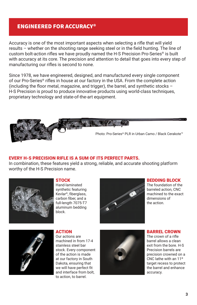# ENGINEERED FOR ACCURACY®

Accuracy is one of the most important aspects when selecting a rifle that will yield results – whether on the shooting range seeking steel or in the field hunting. The line of custom bolt-action rifles we have proudly named the H-S Precision Pro-Series® is built with accuracy at its core. The precision and attention to detail that goes into every step of manufacturing our rifles is second to none.

Since 1978, we have engineered, designed, and manufactured every single component of our Pro-Series® rifles in house at our factory in the USA. From the complete action (including the floor metal, magazine, and trigger), the barrel, and synthetic stocks – H-S Precision is proud to produce innovative products using world-class techniques, proprietary technology and state-of-the-art equipment.



# EVERY H-S PRECISION RIFLE IS A SUM OF ITS PERFECT PARTS.

In combination, these features yield a strong, reliable, and accurate shooting platform worthy of the H-S Precision name.



# **STOCK**

Hand-laminated synthetic featuring Kevlar®, fiberglass, carbon fiber, and a full-length 7075-T7 aluminum bedding block.



# BEDDING BLOCK

The foundation of the barreled action, CNC machined to the exact dimensions of the action.



# ACTION

Our actions are machined in from 17-4 stainless steel bar stock. Every component of the action is made at our factory in South Dakota, ensuring that we will have perfect fit and interface from bolt, to action, to barrel.



### BARREL CROWN

The crown of a rifle barrel allows a clean exit from the bore. H-S Precision barrels are precision crowned on a CNC lathe with an 11º target recess to protect the barrel and enhance accuracy.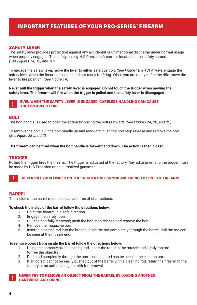# IMPORTANT FEATURES OF YOUR PRO-SERIES® FIREARM

## SAFETY LEVER

The safety lever provides protection against any accidental or unintentional discharge under normal usage when properly engaged. The safety on any H-S Precision firearm is located on the safety shroud. *(See Figures 1A, 1B, and 1C)* 

To engage the safety lever, move the lever to either safe position. *(See Figure 1B & 1C)* Always engage the safety lever when the firearm is loaded and not ready for firing. When you are ready to fire the rifle, move the lever to fire position. *(See Figure 1A)*

**Never pull the trigger when the safety lever is engaged. Do not touch the trigger when moving the safety lever. The firearm will fire when the trigger is pulled and the safety lever is disengaged.**

### **IN EVEN WHEN THE SAFETY LEVER IS ENGAGED, CARELESS HANDLING CAN CAUSE** THE FIREARM TO FIRE.

## **BOLT**

The bolt handle is used to open the action by pulling the bolt rearward. *(See Figures 2A, 2B, and 2C)* 

To remove the bolt, pull the bolt handle up and rearward; push the bolt stop release and remove the bolt. *(See Figure 2B and 2C)*

#### **The firearm can be fired when the bolt handle is forward and down. The action is then closed.**

## TRIGGER

Pulling the trigger fires the firearm. The trigger is adjusted at the factory. Any adjustments to the trigger must be made by H-S Precision or an authorized gunsmith.

#### ! NEVER PUT YOUR FINGER ON THE TRIGGER UNLESS YOU ARE GOING TO FIRE THE FIREARM.

#### BARREL

The inside of the barrel must be clean and free of obstructions.

#### **To check the inside of the barrel follow the directions below.**

- 1. Point the firearm in a safe direction.
- 2. Engage the safety lever.
- 3. Pull the bolt fully rearward; push the bolt stop release and remove the bolt.
- 4. Remove the magazine box.
- 5. Insert a cleaning rod into the breech. Push the rod completely through the barrel until the rod can be seen at the muzzle end.

#### **To remove object from inside the barrel follow the directions below.**

- 1. Using the correctly sized cleaning rod, insert the rod into the muzzle and lightly tap rod to free the object(s).
- 2. Push rod completely through the barrel until the rod can be seen in the ejection port.
- 3. If an object cannot be easily pushed out of the barrel with a cleaning rod, return the firearm to the factory or an authorized gunsmith for removal.

#### ! NEVER TRY TO REMOVE AN OBJECT FROM THE BARREL BY LOADING ANOTHER CARTRIDGE AND FIRING.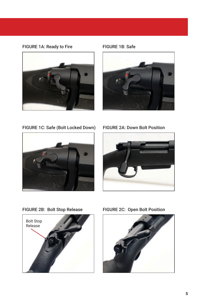# FIGURE 1A: Ready to Fire



FIGURE 1B: Safe



FIGURE 1C: Safe (Bolt Locked Down) FIGURE 2A: Down Bolt Position







FIGURE 2B: Bolt Stop Release FIGURE 2C: Open Bolt Position

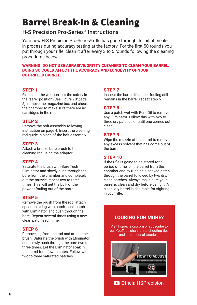# Barrel Break-In & Cleaning

# **H-S Precision Pro-Series® Instructions**

Your new H-S Precision Pro-Series® rifle has gone through its initial breakin process during accuracy testing at the factory. For the first 50 rounds you put through your rifle, clean it after every 3 to 5 rounds following the cleaning procedures below.

WARNING: DO NOT USE ABRASIVE/GRITTY CLEANERS TO CLEAN YOUR BARREL. DOING SO COULD AFFECT THE ACCURACY AND LONGEVITY OF YOUR CUT-RIFLED BARREL.

# STEP 1

First clear the weapon, put the safety in the "safe" position *(See Figure 1B; page 5)*, remove the magazine box and check the chamber to make sure there are no cartridges in the rifle.

# STEP 2

Remove the bolt assembly following instruction on page 4. Insert the cleaning rod guide in place of the bolt assembly.

# STEP 3

Attach a bronze bore brush to the cleaning rod using the adaptor.

# STEP 4

Saturate the brush with Bore Tech Eliminator and slowly push through the bore from the chamber and completely out the muzzle; repeat two to three times. This will get the bulk of the powder fouling out of the barrel.

# STEP 5

Remove the brush from the rod, attach spear point jag with patch, soak patch with Eliminator, and push through the bore. Repeat several times using a new, clean patch each time.

# STEP 6

Remove jag from the rod and attach the brush. Saturate the brush with Eliminator and slowly push through the bore two to three times. Let the Eliminator soak in the barrel for a few minutes. Follow with two to three saturated patches.

# STEP 7

Inspect the barrel; if copper fouling still remains in the barrel, repeat step 5.

# STEP 8

Use a patch wet with Rem Oil to remove any Eliminator. Follow this with two to three dry patches or until one comes out clean.

# STEP 9

Wipe the muzzle of the barrel to remove any excess solvent that has come out of the barrel.

# STEP 10

If the rifle is going to be stored for a period of time, oil the barrel from the chamber end by running a soaked patch through the barrel followed by two dry, clean patches. Always make sure your barrel is clean and dry before using it. A clean, dry barrel is desirable for sighting in your rifle.

# LOOKING FOR MORE?

Visit hsprecision.com or subscribe to our YouTube channel for shooting tips and instructional tutorials.

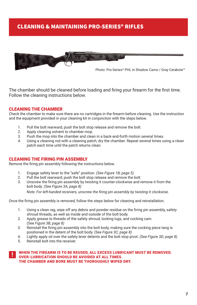# CLEANING & MAINTAINING PRO-SERIES® RIFLES



Photo: Pro-Series® PHL in Shadow Camo / Gray Cerakote™

The chamber should be cleaned before loading and firing your firearm for the first time. Follow the cleaning instructions below.

## CLEANING THE CHAMBER

Check the chamber to make sure there are no cartridges in the firearm before cleaning. Use the instruction and the equipment provided in your cleaning kit in conjunction with the steps below.

- 1. Pull the bolt rearward; push the bolt stop release and remove the bolt.<br>2. Apply cleaning solvent to chamber mon
- Apply cleaning solvent to chamber mop.
- 3. Push the mop into the chamber and clean in a back-and-forth motion several times.
- 4. Using a cleaning rod with a cleaning patch, dry the chamber. Repeat several times using a clean patch each time until the patch returns clean.

## CLEANING THE FIRING PIN ASSEMBLY

Remove the firing pin assembly following the instructions below.

- 1. Engage safety lever to the "safe" position. *(See Figure 1B; page 5)*
- 2. Pull the bolt rearward; push the bolt stop release and remove the bolt.
- 3. Unscrew the firing pin assembly by twisting it counter-clockwise and remove it from the bolt body. *(See Figure 3A; page 8)*

*Note: For left-handed receivers, unscrew the firing pin assembly by twisting it clockwise.*

Once the firing pin assembly is removed, follow the steps below for cleaning and reinstallation.

- 1. Using a clean rag, wipe off any debris and powder residue on the firing pin assembly, safety shroud threads, as well as inside and outside of the bolt body.
- 2. Apply grease to threads of the safety shroud, locking lugs, and cocking cam. *(See Figure 3B; page 8)*
- 3. Reinstall the firing pin assembly into the bolt body, making sure the cocking piece tang is positioned in the detent of the bolt body. *(See Figure 3C; page 8)*
- 4. Lightly apply oil over the safety lever detents and the bolt stop pivot. *(See Figure 3D; page 8)*
- 5. Reinstall bolt into the receiver.

#### WHEN THE FIREARM IS TO BE REUSED, ALL EXCESS LUBRICANT MUST BE REMOVED. OVER-LUBRICATION SHOULD BE AVOIDED AT ALL TIMES. THE CHAMBER AND BORE MUST BE THOROUGHLY WIPED DRY.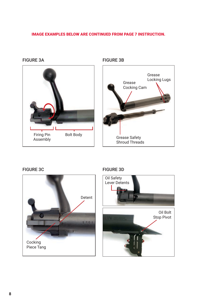# IMAGE EXAMPLES BELOW ARE CONTINUED FROM PAGE 7 INSTRUCTION.

# FIGURE 3A FIGURE 3B



Grease Cocking Cam Grease Locking Lugs Grease Safety Shroud Threads



# FIGURE 3C FIGURE 3D

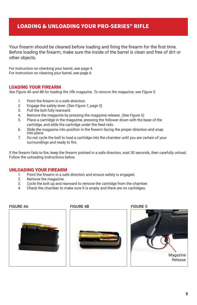# LOADING & UNLOADING YOUR PRO-SERIES® RIFLE

Your firearm should be cleaned before loading and firing the firearm for the first time. Before loading the firearm, make sure the inside of the barrel is clean and free of dirt or other objects.

For instruction on checking your barrel, see page 4. For instruction on cleaning your barrel, see page 6.

## LOADING YOUR FIREARM

*See Figure 4A and 4B for loading the rifle magazine. To remove the magazine, see Figure 5.*

- 1. Point the firearm in a safe direction.
- 2. Engage the safety lever. *(See Figure 1; page 5)*
- 3. Pull the bolt fully rearward.
- 4. Remove the magazine by pressing the magazine release. *(See Figure 5)*
- 5. Place a cartridge in the magazine, pressing the follower down with the base of the cartridge, and slide the cartridge under the feed rails.
- 6. Slide the magazine into position in the firearm facing the proper direction and snap into place.
- 7. Do not cycle the bolt to load a cartridge into the chamber until you are certain of your surroundings and ready to fire.

If the firearm fails to fire, keep the firearm pointed in a safe direction, wait 30 seconds, then carefully unload. Follow the unloading instructions below.

# UNLOADING YOUR FIREARM

- 1. Point the firearm in a safe direction and ensure safety is engaged.
- 2. Remove the magazine.
- 3. Cycle the bolt up and rearward to remove the cartridge from the chamber.
- 4. Check the chamber to make sure it is empty and there are no cartridges.